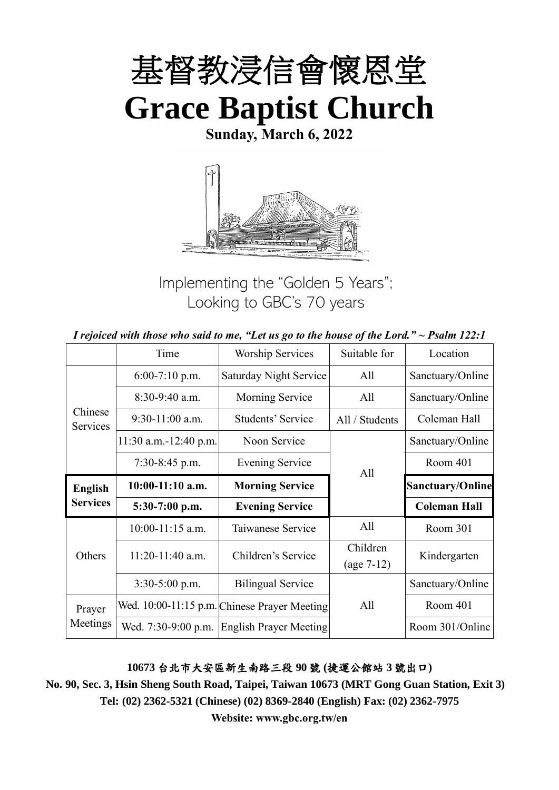

**Sunday, March 6, 2022**



Implementing the "Golden 5 Years"; Looking to GBC's 70 years

|  | I rejoiced with those who said to me, "Let us go to the house of the Lord." $\sim$ Psalm 122:1 |
|--|------------------------------------------------------------------------------------------------|
|--|------------------------------------------------------------------------------------------------|

|                     | Time                    | <b>Worship Services</b>                      | Suitable for             | Location                |
|---------------------|-------------------------|----------------------------------------------|--------------------------|-------------------------|
|                     | $6:00-7:10$ p.m.        | <b>Saturday Night Service</b>                | All                      | Sanctuary/Online        |
|                     | 8:30-9:40 a.m.          | Morning Service                              | All                      | Sanctuary/Online        |
| Chinese<br>Services | $9:30-11:00$ a.m.       | Students' Service                            | All / Students           | Coleman Hall            |
|                     | $11:30$ a.m.-12:40 p.m. | Noon Service                                 |                          | Sanctuary/Online        |
|                     | $7:30-8:45$ p.m.        | <b>Evening Service</b>                       | All                      | Room 401                |
| <b>English</b>      | $10:00-11:10$ a.m.      | <b>Morning Service</b>                       |                          | <b>Sanctuary/Online</b> |
| <b>Services</b>     | 5:30-7:00 p.m.          | <b>Evening Service</b>                       |                          | <b>Coleman Hall</b>     |
|                     | $10:00-11:15$ a.m.      | Taiwanese Service                            | All                      | Room 301                |
| Others              | 11:20-11:40 a.m.        | Children's Service                           | Children<br>$(age 7-12)$ | Kindergarten            |
|                     | 3:30-5:00 p.m.          | <b>Bilingual Service</b>                     |                          | Sanctuary/Online        |
| Prayer              |                         | Wed. 10:00-11:15 p.m. Chinese Prayer Meeting | All                      | Room 401                |
| Meetings            | Wed. 7:30-9:00 p.m.     | <b>English Prayer Meeting</b>                |                          | Room 301/Online         |

**10673** 台北市大安區新生南路三段 **90** 號 **(**捷運公館站 **3** 號出口**)**

**No. 90, Sec. 3, Hsin Sheng South Road, Taipei, Taiwan 10673 (MRT Gong Guan Station, Exit 3) Tel: (02) 2362-5321 (Chinese) (02) 8369-2840 (English) Fax: (02) 2362-7975**

**Website: www.gbc.org.tw/en**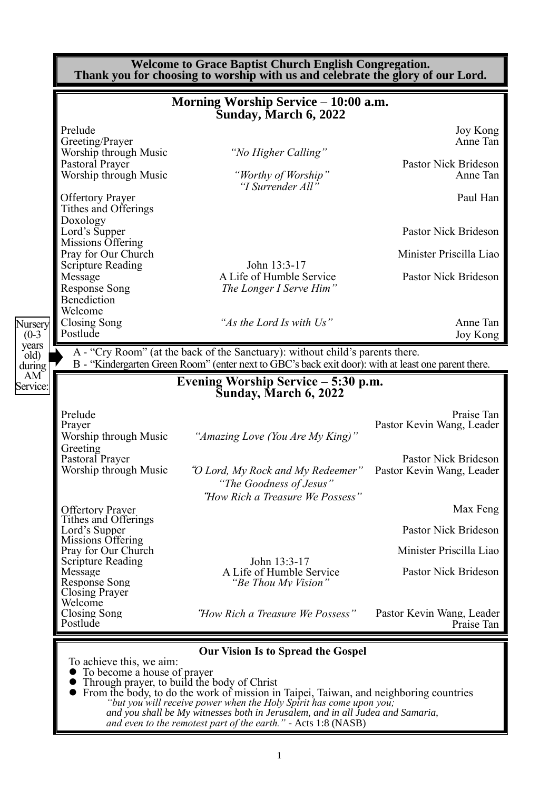|                           |                                                            | <b>Welcome to Grace Baptist Church English Congregation.</b><br>Thank you for choosing to worship with us and celebrate the glory of our Lord.                                                                          |                                                   |
|---------------------------|------------------------------------------------------------|-------------------------------------------------------------------------------------------------------------------------------------------------------------------------------------------------------------------------|---------------------------------------------------|
|                           |                                                            | Morning Worship Service – 10:00 a.m.<br>Sunday, March 6, 2022                                                                                                                                                           |                                                   |
|                           | Prelude                                                    |                                                                                                                                                                                                                         | Joy Kong                                          |
|                           | Greeting/Prayer<br>Worship through Music                   | "No Higher Calling"                                                                                                                                                                                                     | Anne Tan                                          |
|                           | Pastoral Prayer<br>Worship through Music                   | "Worthy of Worship"                                                                                                                                                                                                     | Pastor Nick Brideson<br>Anne Tan                  |
|                           | <b>Offertory Prayer</b>                                    | "I Surrender All"                                                                                                                                                                                                       | Paul Han                                          |
|                           | Tithes and Offerings<br>Doxology                           |                                                                                                                                                                                                                         |                                                   |
|                           | Lord's Supper<br>Missions Offering                         |                                                                                                                                                                                                                         | Pastor Nick Brideson                              |
|                           | Pray for Our Church<br><b>Scripture Reading</b>            | John 13:3-17                                                                                                                                                                                                            | Minister Priscilla Liao                           |
|                           | Message<br><b>Response Song</b>                            | A Life of Humble Service<br>The Longer I Serve Him"                                                                                                                                                                     | Pastor Nick Brideson                              |
|                           | Benediction<br>Welcome                                     |                                                                                                                                                                                                                         |                                                   |
| Nursery<br>$(0-3)$        | Closing Song<br>Postlude                                   | "As the Lord Is with Us"                                                                                                                                                                                                | Anne Tan<br>Joy Kong                              |
| years<br>old)             |                                                            | A - "Cry Room" (at the back of the Sanctuary): without child's parents there.                                                                                                                                           |                                                   |
| during<br>AM <sup>®</sup> |                                                            | B - "Kindergarten Green Room" (enter next to GBC's back exit door): with at least one parent there.<br>Evening Worship Service – 5:30 p.m.                                                                              |                                                   |
| Service:                  |                                                            | Sunday, March 6, 2022                                                                                                                                                                                                   |                                                   |
|                           | Prelude<br>Prayer                                          |                                                                                                                                                                                                                         | Praise Tan<br>Pastor Kevin Wang, Leader           |
|                           | Worship through Music<br>Greeting                          | "Amazing Love (You Are My King)"                                                                                                                                                                                        |                                                   |
|                           | Pastoral Prayer<br>Worship through Music                   | "O Lord, My Rock and My Redeemer"                                                                                                                                                                                       | Pastor Nick Brideson<br>Pastor Kevin Wang, Leader |
|                           |                                                            | "The Goodness of Jesus"                                                                                                                                                                                                 |                                                   |
|                           | <b>Offertory Prayer</b>                                    | "How Rich a Treasure We Possess"                                                                                                                                                                                        | Max Feng                                          |
|                           | Tithes and Offerings<br>Lord's Supper<br>Missions Offering |                                                                                                                                                                                                                         | Pastor Nick Brideson                              |
|                           | Pray for Our Church<br><b>Scripture Reading</b>            | John 13:3-17                                                                                                                                                                                                            | Minister Priscilla Liao                           |
|                           | Message<br><b>Response Song</b>                            | A Life of Humble Service<br>"Be Thou My Vision"                                                                                                                                                                         | Pastor Nick Brideson                              |
|                           | <b>Closing Prayer</b><br>Welcome                           |                                                                                                                                                                                                                         |                                                   |
|                           | Closing Song<br>Postlude                                   | "How Rich a Treasure We Possess"                                                                                                                                                                                        | Pastor Kevin Wang, Leader<br>Praise Tan           |
|                           |                                                            | <b>Our Vision Is to Spread the Gospel</b>                                                                                                                                                                               |                                                   |
|                           | To achieve this, we aim:<br>To become a house of prayer    |                                                                                                                                                                                                                         |                                                   |
|                           | • Through prayer, to build the body of Christ              | • From the body, to do the work of mission in Taipei, Taiwan, and neighboring countries                                                                                                                                 |                                                   |
|                           |                                                            | "but you will receive power when the Holy Spirit has come upon you;<br>and you shall be My witnesses both in Jerusalem, and in all Judea and Samaria,<br>and even to the remotest part of the earth." - Acts 1:8 (NASB) |                                                   |

1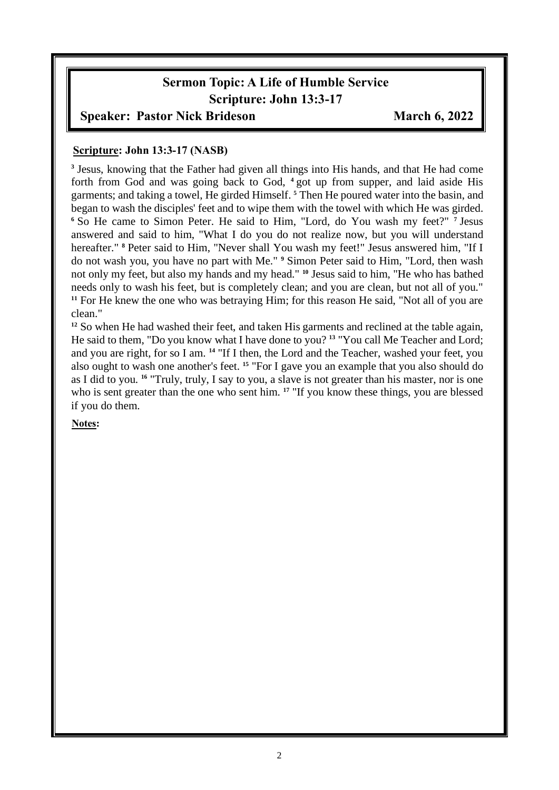## **Sermon Topic: A Life of Humble Service Scripture: John 13:3-17**

#### **Speaker: Pastor Nick Brideson March 6, 2022**

#### **Scripture: John 13:3-17 (NASB)**

**3** Jesus, knowing that the Father had given all things into His hands, and that He had come forth from God and was going back to God, **<sup>4</sup>** got up from supper, and laid aside His garments; and taking a towel, He girded Himself. **<sup>5</sup>** Then He poured water into the basin, and began to wash the disciples' feet and to wipe them with the towel with which He was girded. **<sup>6</sup>** So He came to Simon Peter. He said to Him, "Lord, do You wash my feet?" **<sup>7</sup>** Jesus answered and said to him, "What I do you do not realize now, but you will understand hereafter." **<sup>8</sup>** Peter said to Him, "Never shall You wash my feet!" Jesus answered him, "If I do not wash you, you have no part with Me." **<sup>9</sup>** Simon Peter said to Him, "Lord, then wash not only my feet, but also my hands and my head." **<sup>10</sup>** Jesus said to him, "He who has bathed needs only to wash his feet, but is completely clean; and you are clean, but not all of you." **<sup>11</sup>** For He knew the one who was betraying Him; for this reason He said, "Not all of you are clean."

<sup>12</sup> So when He had washed their feet, and taken His garments and reclined at the table again, He said to them, "Do you know what I have done to you? **<sup>13</sup>** "You call Me Teacher and Lord; and you are right, for so I am. **<sup>14</sup>** "If I then, the Lord and the Teacher, washed your feet, you also ought to wash one another's feet. **<sup>15</sup>** "For I gave you an example that you also should do as I did to you. **<sup>16</sup>** "Truly, truly, I say to you, a slave is not greater than his master, nor is one who is sent greater than the one who sent him. <sup>17</sup> "If you know these things, you are blessed if you do them.

**Notes:**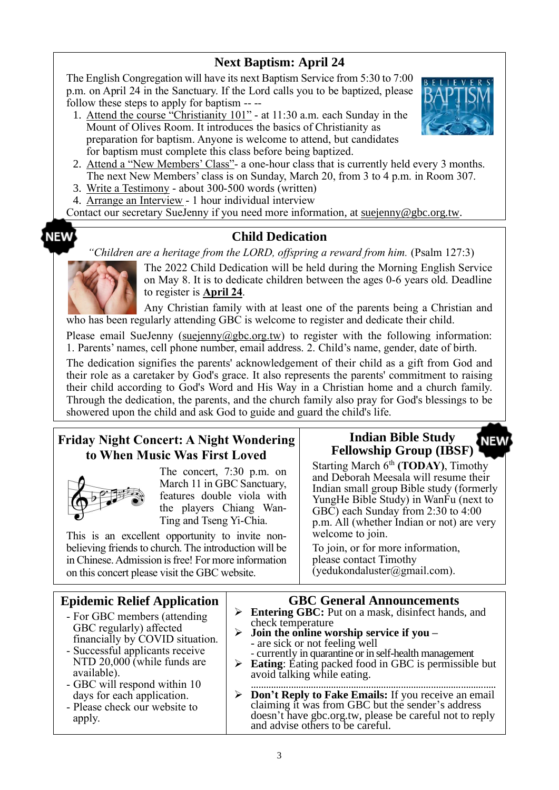## **Next Baptism: April 24**

The English Congregation will have its next Baptism Service from 5:30 to 7:00 p.m. on April 24 in the Sanctuary. If the Lord calls you to be baptized, please follow these steps to apply for baptism -- --

1. Attend the course "Christianity 101" - at 11:30 a.m. each Sunday in the Mount of Olives Room. It introduces the basics of Christianity as preparation for baptism. Anyone is welcome to attend, but candidates for baptism must complete this class before being baptized.



- 2. Attend a "New Members' Class"- a one-hour class that is currently held every 3 months. The next New Members' class is on Sunday, March 20, from 3 to 4 p.m. in Room 307.
- 3. Write a Testimony about 300-500 words (written)
- 4. Arrange an Interview 1 hour individual interview

Contact our secretary SueJenny if you need more information, at suejenny@gbc.org.tw.

#### **Child Dedication**

*"Children are a heritage from the LORD, offspring a reward from him.* (Psalm 127:3)



**NEW** 

The 2022 Child Dedication will be held during the Morning English Service on May 8. It is to dedicate children between the ages 0-6 years old. Deadline to register is **April 24**.

Any Christian family with at least one of the parents being a Christian and who has been regularly attending GBC is welcome to register and dedicate their child.

Please email SueJenny [\(suejenny@gbc.org.tw\)](mailto:suejenny@gbc.org.tw) to register with the following information: 1. Parents' names, cell phone number, email address. 2. Child's name, gender, date of birth.

The dedication signifies the parents' acknowledgement of their child as a gift from God and their role as a caretaker by God's grace. It also represents the parents' commitment to raising their child according to God's Word and His Way in a Christian home and a church family. Through the dedication, the parents, and the church family also pray for God's blessings to be showered upon the child and ask God to guide and guard the child's life.

## **Friday Night Concert: A Night Wondering to When Music Was First Loved**



The concert, 7:30 p.m. on March 11 in GBC Sanctuary, features double viola with the players Chiang Wan-Ting and Tseng Yi-Chia.

This is an excellent opportunity to invite nonbelieving friends to church. The introduction will be in Chinese. Admission is free! For more information on this concert please visit the GBC website.

#### **Indian Bible Study NEW Fellowship Group (IBSF)**

Starting March 6<sup>th</sup> (TODAY), Timothy and Deborah Meesala will resume their Indian small group Bible study (formerly YungHe Bible Study) in WanFu (next to GBC) each Sunday from 2:30 to 4:00 p.m. All (whether Indian or not) are very welcome to join.

To join, or for more information, please contact Timothy (yedukondaluster@gmail.com).

| <b>Epidemic Relief Application</b>                                                                                                                                                                            | <b>GBC General Announcements</b>                                                                                                                                                                                                                                                                                                                    |
|---------------------------------------------------------------------------------------------------------------------------------------------------------------------------------------------------------------|-----------------------------------------------------------------------------------------------------------------------------------------------------------------------------------------------------------------------------------------------------------------------------------------------------------------------------------------------------|
| - For GBC members (attending<br>GBC regularly) affected<br>financially by COVID situation.<br>- Successful applicants receive<br>NTD $20,000$ (while funds are<br>available).<br>- GBC will respond within 10 | <b>Entering GBC:</b> Put on a mask, disinfect hands, and<br>➤<br>check temperature<br>$\triangleright$ Join the online worship service if you –<br>- are sick or not feeling well<br>- currently in quarantine or in self-health management<br>$\triangleright$ Eating: Eating packed food in GBC is permissible but<br>avoid talking while eating. |
| days for each application.<br>- Please check our website to<br>apply.                                                                                                                                         | > Don't Reply to Fake Emails: If you receive an email claiming it was from GBC but the sender's address<br>doesn't have gbc.org.tw, please be careful not to reply<br>and advise others to be careful.                                                                                                                                              |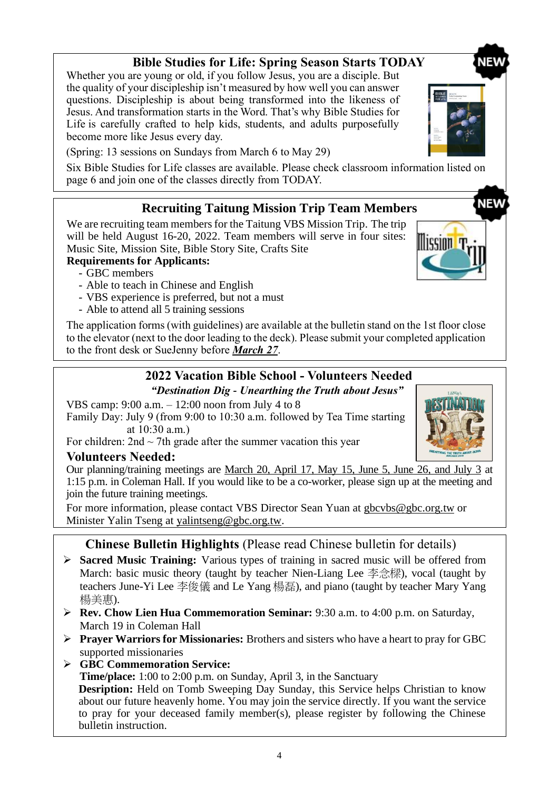# **Bible Studies for Life: Spring Season Starts TODAY**

Whether you are young or old, if you follow Jesus, you are a disciple. But the quality of your discipleship isn't measured by how well you can answer questions. Discipleship is about being transformed into the likeness of Jesus. And transformation starts in the Word. That's why Bible Studies for Life is carefully crafted to help kids, students, and adults purposefully become more like Jesus every day.

(Spring: 13 sessions on Sundays from March 6 to May 29)

Six Bible Studies for Life classes are available. Please check classroom information listed on page 6 and join one of the classes directly from TODAY.

## **Recruiting Taitung Mission Trip Team Members**

We are recruiting team members for the Taitung VBS Mission Trip. The trip will be held August 16-20, 2022. Team members will serve in four sites: Music Site, Mission Site, Bible Story Site, Crafts Site

### **Requirements for Applicants:**

- GBC members
- Able to teach in Chinese and English
- VBS experience is preferred, but not a must
- Able to attend all 5 training sessions

The application forms (with guidelines) are available at the bulletin stand on the 1st floor close to the elevator (next to the door leading to the deck). Please submit your completed application to the front desk or SueJenny before *March 27*.

# **2022 Vacation Bible School - Volunteers Needed**

*"Destination Dig - Unearthing the Truth about Jesus"* VBS camp: 9:00 a.m. – 12:00 noon from July 4 to 8 Family Day: July 9 (from 9:00 to 10:30 a.m. followed by Tea Time starting at 10:30 a.m.)

For children:  $2nd \sim 7th$  grade after the summer vacation this year

## **Volunteers Needed:**

Our planning/training meetings are March 20, April 17, May 15, June 5, June 26, and July 3 at 1:15 p.m. in Coleman Hall. If you would like to be a co-worker, please sign up at the meeting and join the future training meetings.

For more information, please contact VBS Director Sean Yuan at [gbcvbs@gbc.org.tw](mailto:gbcvbs@gbc.org.tw) or Minister Yalin Tseng at yalintseng@gbc.org.tw.

## **Chinese Bulletin Highlights** (Please read Chinese bulletin for details)

- ➢ **Sacred Music Training:** Various types of training in sacred music will be offered from March: basic music theory (taught by teacher Nien-Liang Lee 李念樑), vocal (taught by teachers June-Yi Lee 李俊儀 and Le Yang 楊磊), and piano (taught by teacher Mary Yang 楊美惠).
- ➢ **Rev. Chow Lien Hua Commemoration Seminar:** 9:30 a.m. to 4:00 p.m. on Saturday, March 19 in Coleman Hall
- ➢ **Prayer Warriors for Missionaries:** Brothers and sisters who have a heart to pray for GBC supported missionaries
- ➢ **GBC Commemoration Service:**

**Time/place:** 1:00 to 2:00 p.m. on Sunday, April 3, in the Sanctuary **Desription:** Held on Tomb Sweeping Day Sunday, this Service helps Christian to know about our future heavenly home. You may join the service directly. If you want the service to pray for your deceased family member(s), please register by following the Chinese bulletin instruction.





lissinn 't

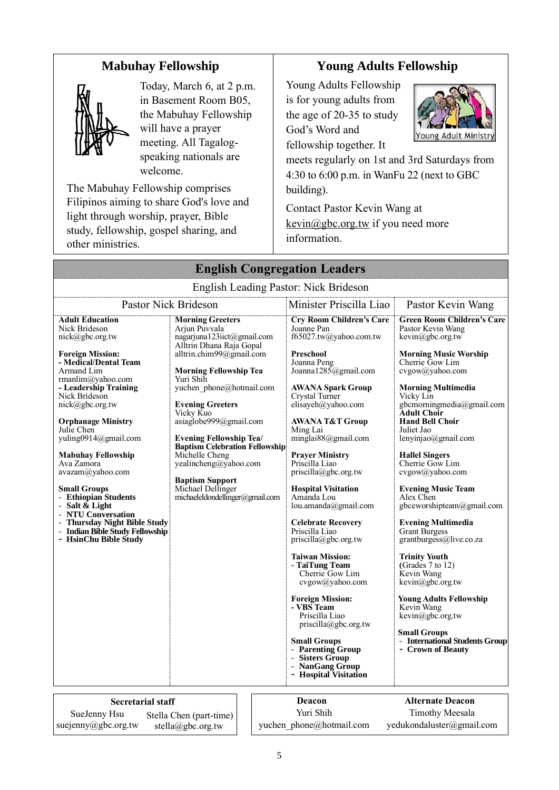## **Mabuhay Fellowship**



Today, March 6, at 2 p.m. in Basement Room B05, the Mabuhay Fellowship will have a prayer meeting. All Tagalogspeaking nationals are welcome.

The Mabuhay Fellowship comprises Filipinos aiming to share God's love and light through worship, prayer, Bible study, fellowship, gospel sharing, and other ministries.

## **Young Adults Fellowship**

Young Adults Fellowship is for young adults from the age of 20-35 to study God's Word and fellowship together. It



meets regularly on 1st and 3rd Saturdays from 4:30 to 6:00 p.m. in WanFu 22 (next to GBC building).

Contact Pastor Kevin Wang at  $k$ evin $@$ gbc.org.tw if you need more information.

|                                                                                                                                                                                                                                                                                                                                                                                                                                                                                                                                                       | <b>English Congregation Leaders</b>                                                                                                                                                                                                                                                                                                                                                                                                                                                |                                                                                                                                                                                                                                                                                                                                                                                                                                                                                                                                                                                                                                                                                                                                                                                                            |                                                                                                                                                                                                                                                                                                                                                                                                                                                                                                                                                                                                                                                                                                                                                                                |
|-------------------------------------------------------------------------------------------------------------------------------------------------------------------------------------------------------------------------------------------------------------------------------------------------------------------------------------------------------------------------------------------------------------------------------------------------------------------------------------------------------------------------------------------------------|------------------------------------------------------------------------------------------------------------------------------------------------------------------------------------------------------------------------------------------------------------------------------------------------------------------------------------------------------------------------------------------------------------------------------------------------------------------------------------|------------------------------------------------------------------------------------------------------------------------------------------------------------------------------------------------------------------------------------------------------------------------------------------------------------------------------------------------------------------------------------------------------------------------------------------------------------------------------------------------------------------------------------------------------------------------------------------------------------------------------------------------------------------------------------------------------------------------------------------------------------------------------------------------------------|--------------------------------------------------------------------------------------------------------------------------------------------------------------------------------------------------------------------------------------------------------------------------------------------------------------------------------------------------------------------------------------------------------------------------------------------------------------------------------------------------------------------------------------------------------------------------------------------------------------------------------------------------------------------------------------------------------------------------------------------------------------------------------|
|                                                                                                                                                                                                                                                                                                                                                                                                                                                                                                                                                       | English Leading Pastor: Nick Brideson                                                                                                                                                                                                                                                                                                                                                                                                                                              |                                                                                                                                                                                                                                                                                                                                                                                                                                                                                                                                                                                                                                                                                                                                                                                                            |                                                                                                                                                                                                                                                                                                                                                                                                                                                                                                                                                                                                                                                                                                                                                                                |
|                                                                                                                                                                                                                                                                                                                                                                                                                                                                                                                                                       | <b>Pastor Nick Brideson</b>                                                                                                                                                                                                                                                                                                                                                                                                                                                        | Minister Priscilla Liao                                                                                                                                                                                                                                                                                                                                                                                                                                                                                                                                                                                                                                                                                                                                                                                    | Pastor Kevin Wang                                                                                                                                                                                                                                                                                                                                                                                                                                                                                                                                                                                                                                                                                                                                                              |
| <b>Adult Education</b><br>Nick Brideson<br>nick@gbc.org.tw<br><b>Foreign Mission:</b><br>- Medical/Dental Team<br>Armand Lim<br>rmanlim@yahoo.com<br>- Leadership Training<br>Nick Brideson<br>$nick(\theta)$ gbc.org.tw<br><b>Orphanage Ministry</b><br>Julie Chen<br>yuling0914@gmail.com<br><b>Mabuhay Fellowship</b><br>Ava Zamora<br>avazam@yahoo.com<br><b>Small Groups</b><br>- Ethiopian Students<br>- Salt $\&$ Light<br>- NTU Conversation<br>- Thursday Night Bible Study<br><b>Indian Bible Study Fellowship</b><br>- HsinChu Bible Study | <b>Morning Greeters</b><br>Arjun Puvvala<br>nagarjuna123iict@gmail.com<br>Alltrin Dhana Raja Gopal<br>alltrin.chim99@gmail.com<br><b>Morning Fellowship Tea</b><br>Yuri Shih<br>yuchen phone@hotmail.com<br><b>Evening Greeters</b><br>Vicky Kuo<br>asiaglobe999@gmail.com<br><b>Evening Fellowship Tea/</b><br><b>Baptism Celebration Fellowship</b><br>Michelle Cheng<br>yealincheng@yahoo.com<br><b>Baptism Support</b><br>Michael Dellinger<br>michaeleldondellinger@gmail.com | <b>Cry Room Children's Care</b><br>Joanne Pan<br>f65027.tw@yahoo.com.tw<br>Preschool<br>Joanna Peng<br>Joanna $1285$ @gmail.com<br><b>AWANA Spark Group</b><br>Crystal Turner<br>elisayeh@yahoo.com<br><b>AWANA T&amp;T Group</b><br>Ming Lai<br>minglai88@gmail.com<br><b>Prayer Ministry</b><br>Priscilla Liao<br>priscilla@gbc.org.tw<br><b>Hospital Visitation</b><br>Amanda Lou<br>lou.amanda@gmail.com<br><b>Celebrate Recovery</b><br>Priscilla Liao<br>$priscilla(\partial gbc.org.tw)$<br><b>Taiwan Mission:</b><br>- TaiTung Team<br>Cherrie Gow Lim<br>cvgow@yahoo.com<br><b>Foreign Mission:</b><br>- VBS Team<br>Priscilla Liao<br>$priscilla(\partial gbc.org.tw)$<br><b>Small Groups</b><br><b>Parenting Group</b><br>- Sisters Group<br><b>NanGang Group</b><br><b>Hospital Visitation</b> | <b>Green Room Children's Care</b><br>Pastor Kevin Wang<br>kevin@gbc.org.tw<br><b>Morning Music Worship</b><br>Cherrie Gow Lim<br>cvgow@yahoo.com<br><b>Morning Multimedia</b><br>Vicky Lin<br>gbcmorningmedia@gmail.com<br><b>Adult Choir</b><br><b>Hand Bell Choir</b><br>Juliet Jao<br>lenyinjao@gmail.com<br><b>Hallel Singers</b><br>Cherrie Gow Lim<br>cvgow@yahoo.com<br><b>Evening Music Team</b><br>Alex Chen<br>gbceworshipteam@gmail.com<br><b>Evening Multimedia</b><br>Grant Burgess<br>grantburgess@live.co.za<br><b>Trinity Youth</b><br>(Grades $7$ to $12$ )<br>Kevin Wang<br>$k$ evin $@$ gbc.org.tw<br><b>Young Adults Fellowship</b><br>Kevin Wang<br>$k$ evin $@$ gbc.org.tw<br><b>Small Groups</b><br>- International Students Group<br>- Crown of Beauty |
| <b>Secretarial staff</b>                                                                                                                                                                                                                                                                                                                                                                                                                                                                                                                              |                                                                                                                                                                                                                                                                                                                                                                                                                                                                                    | Deacon                                                                                                                                                                                                                                                                                                                                                                                                                                                                                                                                                                                                                                                                                                                                                                                                     | <b>Alternate Deacon</b>                                                                                                                                                                                                                                                                                                                                                                                                                                                                                                                                                                                                                                                                                                                                                        |
| SueJenny Hsu<br>suejenny@gbc.org.tw                                                                                                                                                                                                                                                                                                                                                                                                                                                                                                                   | Stella Chen (part-time)<br>stella@gbc.org.tw                                                                                                                                                                                                                                                                                                                                                                                                                                       | Yuri Shih<br>yuchen phone@hotmail.com                                                                                                                                                                                                                                                                                                                                                                                                                                                                                                                                                                                                                                                                                                                                                                      | <b>Timothy Meesala</b><br>yedukondaluster@gmail.com                                                                                                                                                                                                                                                                                                                                                                                                                                                                                                                                                                                                                                                                                                                            |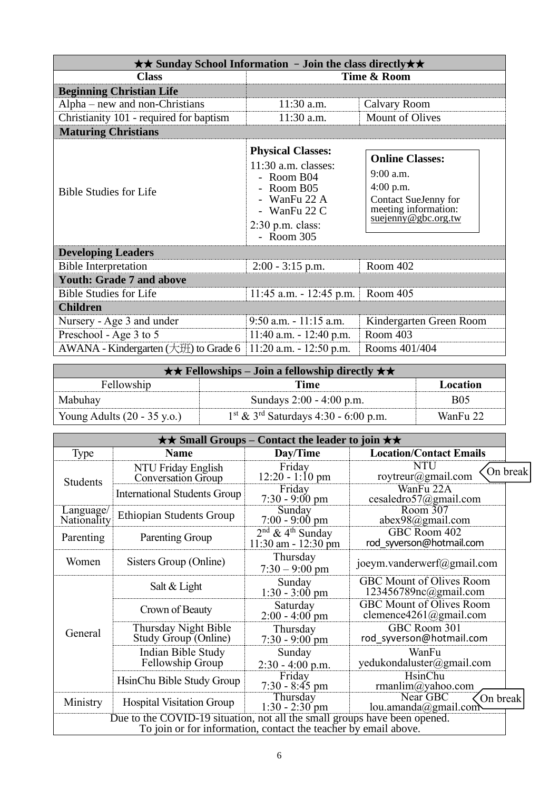|                                           | $\star\star$ Sunday School Information - Join the class directly $\star\star$                                                                                 |                                                                                                                             |
|-------------------------------------------|---------------------------------------------------------------------------------------------------------------------------------------------------------------|-----------------------------------------------------------------------------------------------------------------------------|
| <b>Class</b>                              |                                                                                                                                                               | Time & Room                                                                                                                 |
| <b>Beginning Christian Life</b>           |                                                                                                                                                               |                                                                                                                             |
| $Alpha$ – new and non-Christians          | $11:30$ a.m.                                                                                                                                                  | Calvary Room                                                                                                                |
| Christianity 101 - required for baptism   | 11:30 a.m.                                                                                                                                                    | <b>Mount of Olives</b>                                                                                                      |
| <b>Maturing Christians</b>                |                                                                                                                                                               |                                                                                                                             |
| <b>Bible Studies for Life</b>             | <b>Physical Classes:</b><br>$11:30$ a.m. classes:<br>- Room B04<br>- Room B05<br>- WanFu 22 A<br>- WanFu $22 \text{ C}$<br>$2:30$ p.m. class:<br>$-$ Room 305 | <b>Online Classes:</b><br>$9:00$ a.m.<br>$4:00$ p.m.<br>Contact SueJenny for<br>meeting information:<br>suejenny@gbc.org.tw |
| <b>Developing Leaders</b>                 |                                                                                                                                                               |                                                                                                                             |
| <b>Bible Interpretation</b>               | $2:00 - 3:15$ p.m.                                                                                                                                            | Room 402                                                                                                                    |
| <b>Youth: Grade 7 and above</b>           |                                                                                                                                                               |                                                                                                                             |
| <b>Bible Studies for Life</b>             | $11:45$ a.m. $-12:45$ p.m.                                                                                                                                    | Room 405                                                                                                                    |
| <b>Children</b>                           |                                                                                                                                                               |                                                                                                                             |
| Nursery - Age 3 and under                 | $9:50$ a.m. $-11:15$ a.m.                                                                                                                                     | Kindergarten Green Room                                                                                                     |
| Preschool - Age 3 to 5                    | $11:40$ a.m. $-12:40$ p.m.                                                                                                                                    | Room 403                                                                                                                    |
| AWANA - Kindergarten $(\pm 1)$ to Grade 6 | $11:20$ a.m. $-12:50$ p.m.                                                                                                                                    | Rooms 401/404                                                                                                               |

|                                       | $\star \star$ Fellowships – Join a fellowship directly $\star \star$ |            |
|---------------------------------------|----------------------------------------------------------------------|------------|
| Fellowship                            | Time                                                                 | Location   |
| Mabuhay                               | Sundays 2:00 - 4:00 p.m.                                             | <b>B05</b> |
| Young Adults $(20 - 35 \text{ y.o.})$ | $1^{\text{st}}$ & $3^{\text{rd}}$ Saturdays 4:30 - 6:00 p.m.         | WanFu 22   |

| $\star \star$ Small Groups – Contact the leader to join $\star \star$ |                                                                                                                                              |                                                           |                                                           |
|-----------------------------------------------------------------------|----------------------------------------------------------------------------------------------------------------------------------------------|-----------------------------------------------------------|-----------------------------------------------------------|
| Type                                                                  | <b>Name</b>                                                                                                                                  | Day/Time                                                  | <b>Location/Contact Emails</b>                            |
| <b>Students</b>                                                       | NTU Friday English<br><b>Conversation Group</b>                                                                                              | Friday<br>$12:20 - 1:10 \text{ pm}$                       | <b>NTU</b><br>On break<br>roytreur@gmail.com              |
|                                                                       | <b>International Students Group</b>                                                                                                          | Friday<br>$7:30 - 9:00 \text{ pm}$                        | WanFu 22A<br>cesaledro57@gmail.com                        |
| Language/<br>Nationality                                              | <b>Ethiopian Students Group</b>                                                                                                              | Sunday<br>$7:00 - 9:00$ pm                                | Room 307<br>$abex98$ @gmail.com                           |
| Parenting                                                             | Parenting Group                                                                                                                              | $2nd$ & 4 <sup>th</sup> Sunday<br>$11:30$ am - $12:30$ pm | GBC Room 402<br>rod syverson@hotmail.com                  |
| Women                                                                 | Sisters Group (Online)                                                                                                                       | Thursday<br>$7:30 - 9:00$ pm                              | joeym.vanderwerf@gmail.com                                |
|                                                                       | Salt & Light                                                                                                                                 | Sunday<br>$1:30 - 3:00$ pm                                | <b>GBC Mount of Olives Room</b><br>123456789nc@gmail.com  |
|                                                                       | Crown of Beauty                                                                                                                              | Saturday<br>$2:00 - 4:00$ pm                              | <b>GBC Mount of Olives Room</b><br>clemence4261@gmail.com |
| General                                                               | Thursday Night Bible<br>Study Group (Online)                                                                                                 | Thursday<br>$7:30 - 9:00$ pm                              | GBC Room 301<br>rod syverson@hotmail.com                  |
|                                                                       | Indian Bible Study<br>Fellowship Group                                                                                                       | Sunday<br>$2:30 - 4:00$ p.m.                              | WanFu<br>yedukondaluster@gmail.com                        |
|                                                                       | HsinChu Bible Study Group                                                                                                                    | Friday<br>$7:30 - 8:45$ pm                                | HsinChu<br>rmanlim@yahoo.com                              |
| Ministry                                                              | <b>Hospital Visitation Group</b>                                                                                                             | Thursday<br>$1:30 - 2:30$ pm                              | Near GBC<br>On break<br>lou.amanda@gmail.com              |
|                                                                       | Due to the COVID-19 situation, not all the small groups have been opened.<br>To join or for information, contact the teacher by email above. |                                                           |                                                           |